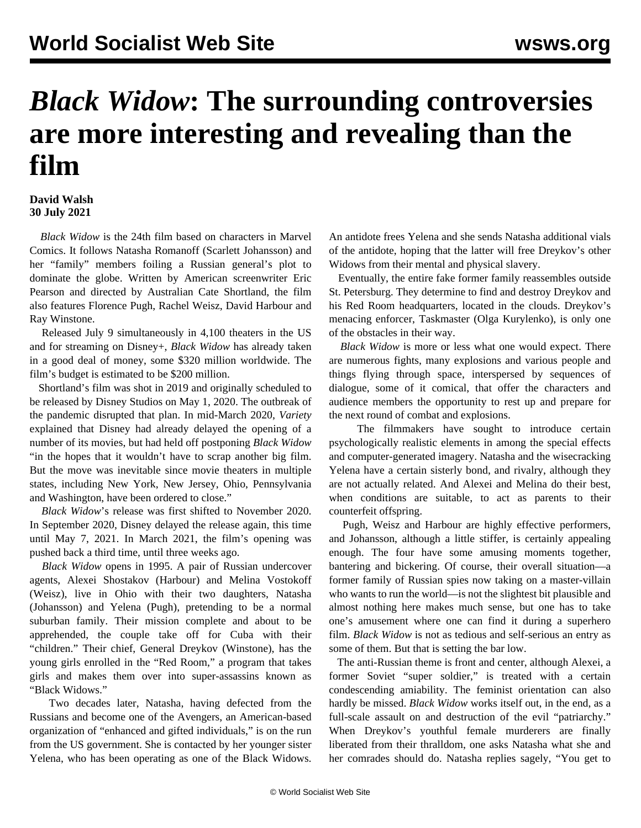## *Black Widow***: The surrounding controversies are more interesting and revealing than the film**

## **David Walsh 30 July 2021**

 *Black Widow* is the 24th film based on characters in Marvel Comics. It follows Natasha Romanoff (Scarlett Johansson) and her "family" members foiling a Russian general's plot to dominate the globe. Written by American screenwriter Eric Pearson and directed by Australian Cate Shortland, the film also features Florence Pugh, Rachel Weisz, David Harbour and Ray Winstone.

 Released July 9 simultaneously in 4,100 theaters in the US and for streaming on Disney+, *Black Widow* has already taken in a good deal of money, some \$320 million worldwide. The film's budget is estimated to be \$200 million.

 Shortland's film was shot in 2019 and originally scheduled to be released by Disney Studios on May 1, 2020. The outbreak of the pandemic disrupted that plan. In mid-March 2020, *Variety* explained that Disney had already delayed the opening of a number of its movies, but had held off postponing *Black Widow* "in the hopes that it wouldn't have to scrap another big film. But the move was inevitable since movie theaters in multiple states, including New York, New Jersey, Ohio, Pennsylvania and Washington, have been ordered to close."

 *Black Widow*'s release was first shifted to November 2020. In September 2020, Disney delayed the release again, this time until May 7, 2021. In March 2021, the film's opening was pushed back a third time, until three weeks ago.

 *Black Widow* opens in 1995. A pair of Russian undercover agents, Alexei Shostakov (Harbour) and Melina Vostokoff (Weisz), live in Ohio with their two daughters, Natasha (Johansson) and Yelena (Pugh), pretending to be a normal suburban family. Their mission complete and about to be apprehended, the couple take off for Cuba with their "children." Their chief, General Dreykov (Winstone), has the young girls enrolled in the "Red Room," a program that takes girls and makes them over into super-assassins known as "Black Widows."

 Two decades later, Natasha, having defected from the Russians and become one of the Avengers, an American-based organization of "enhanced and gifted individuals," is on the run from the US government. She is contacted by her younger sister Yelena, who has been operating as one of the Black Widows. An antidote frees Yelena and she sends Natasha additional vials of the antidote, hoping that the latter will free Dreykov's other Widows from their mental and physical slavery.

 Eventually, the entire fake former family reassembles outside St. Petersburg. They determine to find and destroy Dreykov and his Red Room headquarters, located in the clouds. Dreykov's menacing enforcer, Taskmaster (Olga Kurylenko), is only one of the obstacles in their way.

 *Black Widow* is more or less what one would expect. There are numerous fights, many explosions and various people and things flying through space, interspersed by sequences of dialogue, some of it comical, that offer the characters and audience members the opportunity to rest up and prepare for the next round of combat and explosions.

 The filmmakers have sought to introduce certain psychologically realistic elements in among the special effects and computer-generated imagery. Natasha and the wisecracking Yelena have a certain sisterly bond, and rivalry, although they are not actually related. And Alexei and Melina do their best, when conditions are suitable, to act as parents to their counterfeit offspring.

 Pugh, Weisz and Harbour are highly effective performers, and Johansson, although a little stiffer, is certainly appealing enough. The four have some amusing moments together, bantering and bickering. Of course, their overall situation—a former family of Russian spies now taking on a master-villain who wants to run the world—is not the slightest bit plausible and almost nothing here makes much sense, but one has to take one's amusement where one can find it during a superhero film. *Black Widow* is not as tedious and self-serious an entry as some of them. But that is setting the bar low.

 The anti-Russian theme is front and center, although Alexei, a former Soviet "super soldier," is treated with a certain condescending amiability. The feminist orientation can also hardly be missed. *Black Widow* works itself out, in the end, as a full-scale assault on and destruction of the evil "patriarchy." When Dreykov's youthful female murderers are finally liberated from their thralldom, one asks Natasha what she and her comrades should do. Natasha replies sagely, "You get to